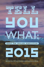

#### **GREAT** NEW ZEALAND NONFICTION



Edited by Jolisa Gracewood & Susanna Andrew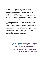**On blogs and Twitter, in magazines and journals, at prizegivings and pōwhiri, New Zealanders are talking and writing about the world right now. We've been producing essays and articles, speeches and submissions, tweets and travelogues – nonfiction, in other words. This book collects some of New Zealand's best true stories from the past year or so together into an anthology.** 

**And tell you what: we are swimming in this great nonfiction. This anthology takes us to new places, introduces us to new people, asks new questions and brings us a little closer to the true and the real. We've got mountain climbing and family secrets, cannibal snails and dangerous swims. We've got births. Deaths. Marriages. House auctions. Steve Braunias and Lara Strongman, Eleanor Catton and Tina Makereti. We've got real, live stories, written to last.** 

> **Jolisa Gracewood is a writer, editor and reviewer. Susanna Andrew thinks and writes about books for Metro magazine and is also an organiser of literary events. They live in neighbouring Auckland suburbs and are always swapping book recommendations; you could call them very close readers.**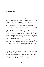# **Introduction**

The words promise a revelation. 'Tell you what,' someone says, on impulse or on reflection – and we're hooked. This book celebrates that call and response by gathering some of the strongest New Zealand nonfiction from the past few years. A buzz of voices that captures what we were thinking.

We're surrounded by true stories these days: reportage, memoirs, essays, yarns, meditations, explorations, blog posts, tweets. So much to read, from so many places, so little time. But whether published in magazines, newspapers, small journals, online, or performed aloud to a one-off audience, much of this great storytelling remains ephemeral. It holds you in its spell for a moment, then disappears into the recycling pile or browser cache.

So we've summoned a timely selection of these fugitive pieces back into the light, to reveal the strength and variety of nonfiction in New Zealand right now. Together on the page, these writers illuminate a moment in time.

\*

Our inspiration was twofold. First, it had never been done before. Why, we found ourselves wondering, doesn't New Zealand have an equivalent of the *Best American Essays* or *Best Australian Essays* series? Surely we had enough great nonfiction to fill a book on a regular basis?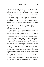**INTRODUCTION 5**

Second, we love a challenge, and one was posed by *Metro* magazine editor Simon Wilson in July 2013. In a review of a legendary exponent of long-form writing, he asked: 'Where is our Janet Malcolm?' His best guess: whoever she was, she was too busy tweeting.

The response – at least, as soon as the review was put up on the magazine's website – was swift. 'It's easy to lament what we do not have in New Zealand,' responded poet and essayist (and regular tweeter) Ashleigh Young on her blog. 'Our voices necessarily come from a different place. I think we're at the beginning of something; we're witnessing a slow but sure surge of interest in the kinds of nonfiction that do illuminate things around us and *in* us.'

In fact, Wilson had it backwards, replied blogger and translator Giovanni Tiso on his own blog. 'Poetry, fiction and creative nonfiction thrive on the New Zealand web,' he argued. 'These kinds of online writing are consistently bolder, hence more relevant, than what one reads in print.' In other words, while Janet Malcolm may have a *New Yorker* budget and readership, we have broadband enough, and time. We also have an open, supportive, diverse writing community; and, while our literary marketplace is smaller, most editors are a friend of a friend of a friend or a retweet away.

It's true that some of our freshest writing is found online – fully half the contents of this collection were originally published on the web. Wherever you find it – in the unruly richness of the blogosphere, on the radio, at a live event, on a magazine rack, or patiently edited into existence before being wrapped around your fish and chips – nonfiction is a vital part of our cultural landscape.

Steve Braunias, himself approaching the status of nonfiction national treasure, staked the claim in a speech in September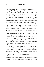### **6 INTRODUCTION**

2013 that 'our most accomplished literature is our history and biography'. And yet, perhaps by virtue of its name, which tells you what it isn't, nonfiction implicitly occupies a second-class status. Braunias pointed out the paradox of novelist Emily Perkins' blurb on the cover of his award-winning collection *Civilisation*, which compares it to 'a series of great New Zealand novels bound up in one extraordinary book'. His perfectly reasonable riposte: 'Will someone say on the cover of Emily's next book, "It's like a series of great books of New Zealand nonfiction bound up in one extraordinary novel"?'

Undeniably, great books of New Zealand nonfiction hold their own as the complement to our great novels – they dominate sales, and do well at awards. But shorter pieces still struggle to find the light. Which is why we set out to celebrate the genuine article, sufficient in itself.

Our temporal starting point for this collection was the Canterbury earthquake of September 2010, an event that shook loose our beliefs about what could happen when and where; buildings broke and words came tumbling out. Among other dates we might have chosen, this one felt somehow definitive. And then we began hunting for stories that had stuck with us, that invited re-reading, that begged to be passed on.

Our scope was nonfiction in the broadest sense, perhaps because the word 'essay' sounds to New Zealand ears like homework. We threw a wide net: newspapers, magazines, journals, personal blogs, from here and overseas. We asked around for stories that told us something we didn't know, or upended something we thought we knew.

With Emily Dickinson's line in mind – 'Tell all the truth but tell it slant' – we looked for sincerity with style. We prized a distinctive voice, whether artful or blunt, exploratory or argumentative. We sought writing with a real feeling for prose;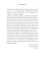## **INTRODUCTION 7**

with seriousness, flourish, humour, swagger; with a sense of authority – or of gathering doubt. Writing that catches the reader by surprise is memorable; a writer taking herself by surprise is even more disarming.

Having assembled a longlist, we discovered connections. We found writers pondering the cost of living, both metaphorical and literal: the trade-offs of modern life and dangerous work. We found writers on the move, tracing the travels, ancient and modern, of people, of notions, of practices and objects. We found writers pursuing the idea of home, an old theme with increasingly worldly twists. And we found 'New Zealand' all over the map: examined through a telescope and under a microscope, from inside small towns, from distant metropolises and from the highest mountain in the world.

Larger-than-life figures stride through the book, young and old: some well known, others perfectly ordinary and yet extraordinary in their own way. There are public tragedies and private disasters; quests and questions; the odd yarn. And on every page there's an awareness of the strange, slippery magic of stories – the way we pass them on or hold them close; how much of our history is hidden from view; how much of it is hiding in plain sight.

> *Susanna Andrew Jolisa Gracewood July 2014*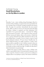# **Ashleigh Young Small Revolutions, or: On My Bike in London**

# **1.**

Yesterday I saw a man striding along Kennington Road in normal civilian clothing, except for the motorcycle helmet he was wearing. Out of curiosity I looked around for his motorbike. No sign of it anywhere. Immediately the man seemed insane. Why is it that as soon as you step away from the thing for which a helmet is required, you look ridiculous? (I'm reminded of my great-uncle James – renowned for falling off a succession of scooters – who is known to have worn his full-face motorcycle helmet when at the movies. I think this was to protect himself from Jaffas launched by kids in the rows behind him, or maybe it was to create a sense of total head-cushioned seclusion. I'll never know. Possible clue: he always held his head at an angle in photos.) I wish it were more socially acceptable to wear a helmet around so that you didn't have to go to the trouble of putting it on and taking it off when you got on/off your bike. (Could it be that this is what Uncle James was protesting?)

Maybe the reason it looks funny to wear a helmet sans vehicle or sportsfield is that it's become kind of unusual to wear a hat, except for a beanie in winter, or if you're in uniform or religious dress or are going to a party. The western world lives

A selection of posts first published on Ashleigh Young's blog Eyelash Roaming, 2011 and 2012 (eyelashroaming.com).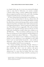in a largely hatless age. So to wear non-contextual headgear reads as some kind of affectation. An extreme example: a friend recalls seeing a woman walking along wearing a phone strapped around her head with a scarf. Like a bandage, wrapped around her head, securing the phone in place.

It's been claimed that forcing people to wear helmets, as is the case in New Zealand where it's the law, will put them off cycling. I guess because they fear looking silly. Helmet wearing has always been controversial among cyclists, and now another study has found that cycle helmets don't offer much protection at all against head injuries.\* I haven't made up my mind on this one. The problem is I'm too suggestible. 'Oh, so the no-helmet brigade is anti-capitalist nonsense and if you hit me over the head with a baseball bat, would I rather have a helmet on or off? Well, then . . .' 'Oh, so my helmet could leave me *worse off*  than not wearing one in some situations and that helmets are a sign of a failed cycle culture? Well, then . . .' The problem is also instinct: my instinct to wear a helmet is as strong as my instinct to wear underwear. It was embedded in early childhood. I can't see much further beyond the – some would say delusional – sense of safety that a helmet gives me, and the stark vulnerability I feel if I'm not wearing one.

I've noticed something interesting, though: whenever I wear a pink helmet, most drivers give me more space when they overtake. But when I wear my ordinary old sporty black one, I get a lot more punishment passes. The 'punishment pass' is a move that my brother Neil, also a keen London cyclist, describes as being 'strafed by a passing car or

<sup>\*</sup> Jonathon Harker, 'Cycle helmets offer little protection against head injuries', *BikeBiz*, 9 March 2012 (www.bikebiz.com/news/read/cycle-helmets-offer-littleprotection-against-head-injuries).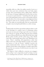## **10 ASHLEIGH YOUNG**

motorbike while on a bike: the sudden onrush of terror as a vehicle slices past mere centimetres from your body, engine revving, driver gesticulating and/or yelling abuse, followed by the sense of outrage, heightened by the fact that you have no recourse in such situations'.\* Something about the appearance of the pink helmet seems to invite a more gentle response from the driver. He or she must make a snap judgement about the kind of cyclist you are, and that reaction is: 'Pink: let her live.' This makes me uncomfortable. But not uncomfortable enough to stop wearing the pink helmet as a safety strategy.

# **2.**

Nothing makes me feel less special than riding my bike to work in the mornings. In a spidery mass of commuting cyclists, you're just one more pair of legs to get in the way of someone else's. Because it's spring, the bike lanes have been seething. As soon as blossom fills the trees, bikes fill the bike lanes, bugs fill the cyclists' mouths, and the cyclists sing, or they whistle. I don't like it when people sing as they cycle. Whistling is even worse. There's something self-congratulatory about that jollity. 'Look at me,' the singer/whistler is saying. 'I'm carefree and joyous as I ride my bicycle.' Suddenly everyone else seems conspicuously silent – joyless, even. Even if the singer/ whistler noticed other cyclists glaring, it wouldn't upset them. Because they are so joyous. I'm all for joie de vivre, but it's not a competition.

The thing is, I find it difficult to entertain any smuggery about cycling. I can't congratulate myself on being 'one less car' or 'running on fat, not money'. And I can't wholeheartedly

<sup>\*</sup> Neil Young, 'So That's What That Is', Wolfie Stories, 21 January 2012 (https://wolfiestories.wordpress.com/2012/01/23/so-thats-what-that-is/).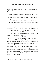believe, as the cycle activism group Zero Per Gallon argues, that cycling is like

*eating a super-duper delicious burrito every day with guacamole and cheese and sauce on top at the most fabulous taqueria mankind has ever seen, and discovering that it makes your butt look good AND it makes you feel good AND it's extending your life AND it's saving you money. Oh, yeah – and it's also helping solve huge international crises, like healthcare and global warming and energy.\**

Of course cycling is broadly preferable to other forms of transport. On a good day I love cycling and feel proud of it. The benefits for me are mostly anti-social ones: the independence, the avoidance of public transport and the exercise. But it's not a silver bullet. It doesn't make you Captain Planet, or even a fine upstanding citizen.

I wish it did, but you can ride a bike and also be a bastard. You can run red lights at such speed that you almost take out parents with toddlers crossing at the green man. You can cycle 100 miles a day and yet contribute to any number of international crises. I'll concede that cycling saves me money (but even on that front, considering the thefts and repairs and insurance I've paid for, the margins are slim). Whether it makes my bum look any better is still up for debate but evidence tells me let's not talk about it. And my secret cycling shame is this: sometimes, *cycling does not make me feel good*. On a bad day it makes me feel like rubbish. It fills me with illfeeling for my fellow man.

Zero Per Gallon, 'About' (http://www.zeropergallon.com/about/).